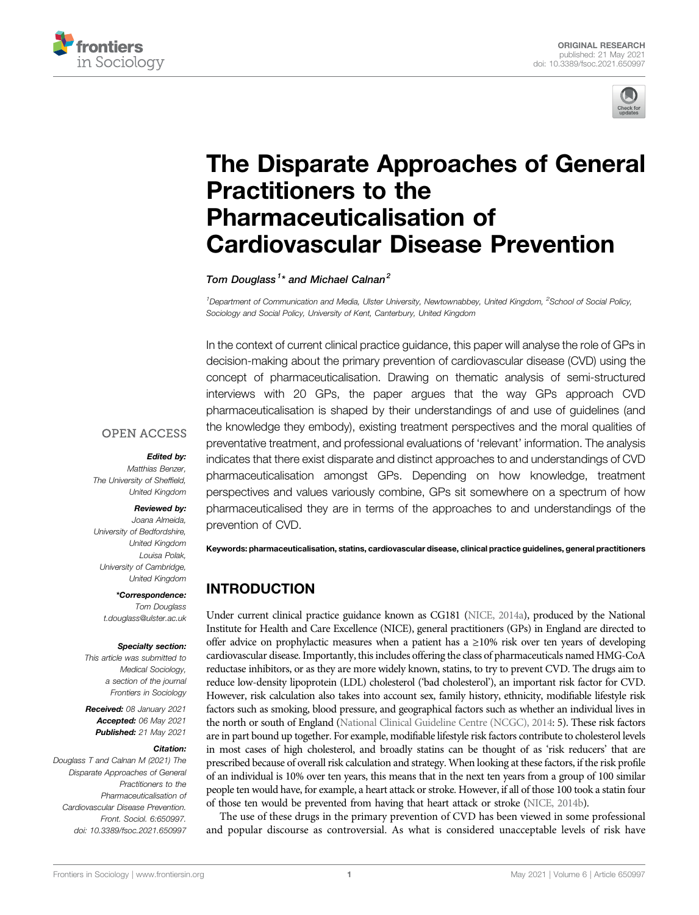



# [The Disparate Approaches of General](https://www.frontiersin.org/articles/10.3389/fsoc.2021.650997/full) [Practitioners to the](https://www.frontiersin.org/articles/10.3389/fsoc.2021.650997/full) [Pharmaceuticalisation of](https://www.frontiersin.org/articles/10.3389/fsoc.2021.650997/full) [Cardiovascular Disease Prevention](https://www.frontiersin.org/articles/10.3389/fsoc.2021.650997/full)

Tom Douglass<sup>1\*</sup> and Michael Calnan<sup>2</sup>

<sup>1</sup>Department of Communication and Media, Ulster University, Newtownabbey, United Kingdom, <sup>2</sup>School of Social Policy, Sociology and Social Policy, University of Kent, Canterbury, United Kingdom

In the context of current clinical practice guidance, this paper will analyse the role of GPs in decision-making about the primary prevention of cardiovascular disease (CVD) using the concept of pharmaceuticalisation. Drawing on thematic analysis of semi-structured interviews with 20 GPs, the paper argues that the way GPs approach CVD pharmaceuticalisation is shaped by their understandings of and use of guidelines (and the knowledge they embody), existing treatment perspectives and the moral qualities of preventative treatment, and professional evaluations of 'relevant' information. The analysis indicates that there exist disparate and distinct approaches to and understandings of CVD pharmaceuticalisation amongst GPs. Depending on how knowledge, treatment perspectives and values variously combine, GPs sit somewhere on a spectrum of how pharmaceuticalised they are in terms of the approaches to and understandings of the prevention of CVD.

#### **OPEN ACCESS**

#### Edited by:

Matthias Benzer, The University of Sheffield, United Kingdom

#### Reviewed by:

Joana Almeida, University of Bedfordshire, United Kingdom Louisa Polak, University of Cambridge, United Kingdom

\*Correspondence: Tom Douglass [t.douglass@ulster.ac.uk](mailto:t.douglass@ulster.ac.uk)

#### Specialty section:

This article was submitted to Medical Sociology, a section of the journal Frontiers in Sociology

Received: 08 January 2021 Accepted: 06 May 2021 Published: 21 May 2021

#### Citation:

Douglass T and Calnan M (2021) The Disparate Approaches of General Practitioners to the Pharmaceuticalisation of Cardiovascular Disease Prevention. Front. Sociol. 6:650997. doi: [10.3389/fsoc.2021.650997](https://doi.org/10.3389/fsoc.2021.650997)

Keywords: pharmaceuticalisation, statins, cardiovascular disease, clinical practice guidelines, general practitioners

# INTRODUCTION

Under current clinical practice guidance known as CG181 ([NICE, 2014a](#page-12-0)), produced by the National Institute for Health and Care Excellence (NICE), general practitioners (GPs) in England are directed to offer advice on prophylactic measures when a patient has a ≥10% risk over ten years of developing cardiovascular disease. Importantly, this includes offering the class of pharmaceuticals named HMG-CoA reductase inhibitors, or as they are more widely known, statins, to try to prevent CVD. The drugs aim to reduce low-density lipoprotein (LDL) cholesterol ('bad cholesterol'), an important risk factor for CVD. However, risk calculation also takes into account sex, family history, ethnicity, modifiable lifestyle risk factors such as smoking, blood pressure, and geographical factors such as whether an individual lives in the north or south of England ([National Clinical Guideline Centre \(NCGC\), 2014:](#page-12-1) 5). These risk factors are in part bound up together. For example, modifiable lifestyle risk factors contribute to cholesterol levels in most cases of high cholesterol, and broadly statins can be thought of as 'risk reducers' that are prescribed because of overall risk calculation and strategy. When looking at these factors, if the risk profile of an individual is 10% over ten years, this means that in the next ten years from a group of 100 similar people ten would have, for example, a heart attack or stroke. However, if all of those 100 took a statin four of those ten would be prevented from having that heart attack or stroke [\(NICE, 2014b\)](#page-13-0).

The use of these drugs in the primary prevention of CVD has been viewed in some professional and popular discourse as controversial. As what is considered unacceptable levels of risk have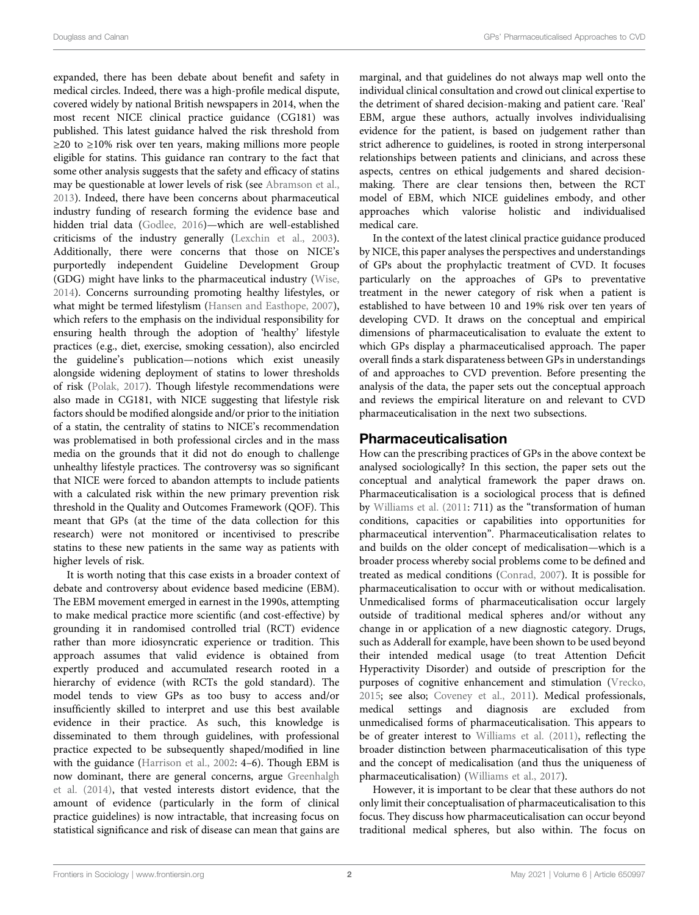expanded, there has been debate about benefit and safety in medical circles. Indeed, there was a high-profile medical dispute, covered widely by national British newspapers in 2014, when the most recent NICE clinical practice guidance (CG181) was published. This latest guidance halved the risk threshold from ≥20 to ≥10% risk over ten years, making millions more people eligible for statins. This guidance ran contrary to the fact that some other analysis suggests that the safety and efficacy of statins may be questionable at lower levels of risk (see [Abramson et al.,](#page-12-2) [2013](#page-12-2)). Indeed, there have been concerns about pharmaceutical industry funding of research forming the evidence base and hidden trial data [\(Godlee, 2016](#page-12-3))—which are well-established criticisms of the industry generally [\(Lexchin et al., 2003\)](#page-12-4). Additionally, there were concerns that those on NICE's purportedly independent Guideline Development Group (GDG) might have links to the pharmaceutical industry [\(Wise,](#page-13-1) [2014](#page-13-1)). Concerns surrounding promoting healthy lifestyles, or what might be termed lifestylism [\(Hansen and Easthope, 2007\)](#page-12-5), which refers to the emphasis on the individual responsibility for ensuring health through the adoption of 'healthy' lifestyle practices (e.g., diet, exercise, smoking cessation), also encircled the guideline's publication—notions which exist uneasily alongside widening deployment of statins to lower thresholds of risk [\(Polak, 2017\)](#page-13-2). Though lifestyle recommendations were also made in CG181, with NICE suggesting that lifestyle risk factors should be modified alongside and/or prior to the initiation of a statin, the centrality of statins to NICE's recommendation was problematised in both professional circles and in the mass media on the grounds that it did not do enough to challenge unhealthy lifestyle practices. The controversy was so significant that NICE were forced to abandon attempts to include patients with a calculated risk within the new primary prevention risk threshold in the Quality and Outcomes Framework (QOF). This meant that GPs (at the time of the data collection for this research) were not monitored or incentivised to prescribe statins to these new patients in the same way as patients with higher levels of risk.

It is worth noting that this case exists in a broader context of debate and controversy about evidence based medicine (EBM). The EBM movement emerged in earnest in the 1990s, attempting to make medical practice more scientific (and cost-effective) by grounding it in randomised controlled trial (RCT) evidence rather than more idiosyncratic experience or tradition. This approach assumes that valid evidence is obtained from expertly produced and accumulated research rooted in a hierarchy of evidence (with RCTs the gold standard). The model tends to view GPs as too busy to access and/or insufficiently skilled to interpret and use this best available evidence in their practice. As such, this knowledge is disseminated to them through guidelines, with professional practice expected to be subsequently shaped/modified in line with the guidance ([Harrison et al., 2002:](#page-12-6) 4–6). Though EBM is now dominant, there are general concerns, argue [Greenhalgh](#page-12-7) [et al. \(2014\),](#page-12-7) that vested interests distort evidence, that the amount of evidence (particularly in the form of clinical practice guidelines) is now intractable, that increasing focus on statistical significance and risk of disease can mean that gains are

marginal, and that guidelines do not always map well onto the individual clinical consultation and crowd out clinical expertise to the detriment of shared decision-making and patient care. 'Real' EBM, argue these authors, actually involves individualising evidence for the patient, is based on judgement rather than strict adherence to guidelines, is rooted in strong interpersonal relationships between patients and clinicians, and across these aspects, centres on ethical judgements and shared decisionmaking. There are clear tensions then, between the RCT model of EBM, which NICE guidelines embody, and other approaches which valorise holistic and individualised medical care.

In the context of the latest clinical practice guidance produced by NICE, this paper analyses the perspectives and understandings of GPs about the prophylactic treatment of CVD. It focuses particularly on the approaches of GPs to preventative treatment in the newer category of risk when a patient is established to have between 10 and 19% risk over ten years of developing CVD. It draws on the conceptual and empirical dimensions of pharmaceuticalisation to evaluate the extent to which GPs display a pharmaceuticalised approach. The paper overall finds a stark disparateness between GPs in understandings of and approaches to CVD prevention. Before presenting the analysis of the data, the paper sets out the conceptual approach and reviews the empirical literature on and relevant to CVD pharmaceuticalisation in the next two subsections.

#### Pharmaceuticalisation

How can the prescribing practices of GPs in the above context be analysed sociologically? In this section, the paper sets out the conceptual and analytical framework the paper draws on. Pharmaceuticalisation is a sociological process that is defined by [Williams et al. \(2011](#page-13-3): 711) as the "transformation of human conditions, capacities or capabilities into opportunities for pharmaceutical intervention". Pharmaceuticalisation relates to and builds on the older concept of medicalisation—which is a broader process whereby social problems come to be defined and treated as medical conditions ([Conrad, 2007](#page-12-8)). It is possible for pharmaceuticalisation to occur with or without medicalisation. Unmedicalised forms of pharmaceuticalisation occur largely outside of traditional medical spheres and/or without any change in or application of a new diagnostic category. Drugs, such as Adderall for example, have been shown to be used beyond their intended medical usage (to treat Attention Deficit Hyperactivity Disorder) and outside of prescription for the purposes of cognitive enhancement and stimulation ([Vrecko,](#page-13-4) [2015](#page-13-4); see also; [Coveney et al., 2011](#page-12-9)). Medical professionals, medical settings and diagnosis are excluded from unmedicalised forms of pharmaceuticalisation. This appears to be of greater interest to [Williams et al. \(2011\)](#page-13-3), reflecting the broader distinction between pharmaceuticalisation of this type and the concept of medicalisation (and thus the uniqueness of pharmaceuticalisation) ([Williams et al., 2017](#page-13-5)).

However, it is important to be clear that these authors do not only limit their conceptualisation of pharmaceuticalisation to this focus. They discuss how pharmaceuticalisation can occur beyond traditional medical spheres, but also within. The focus on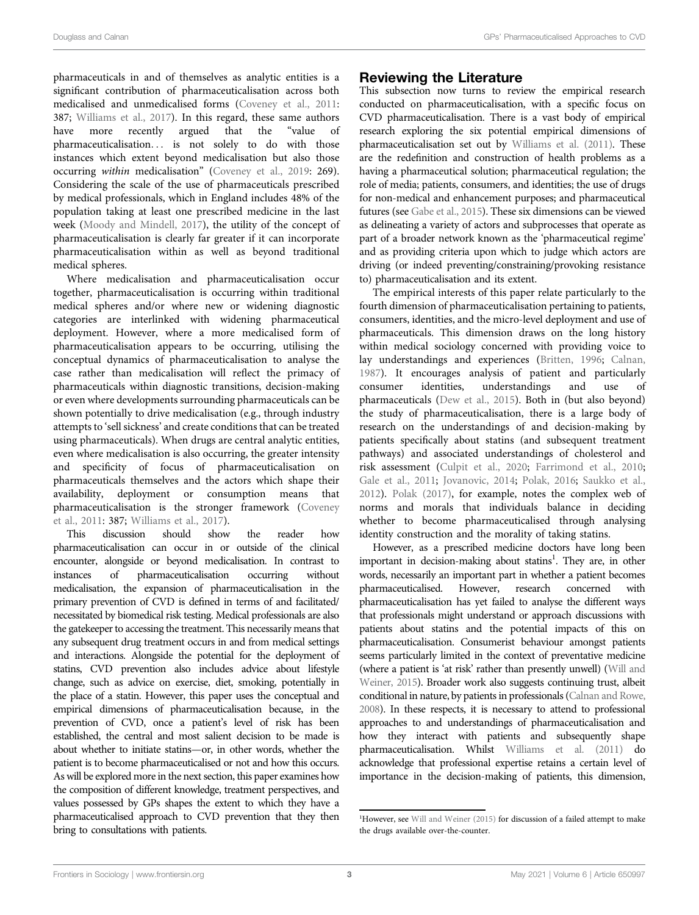pharmaceuticals in and of themselves as analytic entities is a significant contribution of pharmaceuticalisation across both medicalised and unmedicalised forms ([Coveney et al., 2011](#page-12-9): 387; [Williams et al., 2017\)](#page-13-5). In this regard, these same authors have more recently argued that the "value of pharmaceuticalisation... is not solely to do with those instances which extent beyond medicalisation but also those occurring within medicalisation" [\(Coveney et al., 2019:](#page-12-10) 269). Considering the scale of the use of pharmaceuticals prescribed by medical professionals, which in England includes 48% of the population taking at least one prescribed medicine in the last week ([Moody and Mindell, 2017\)](#page-12-11), the utility of the concept of pharmaceuticalisation is clearly far greater if it can incorporate pharmaceuticalisation within as well as beyond traditional medical spheres.

Where medicalisation and pharmaceuticalisation occur together, pharmaceuticalisation is occurring within traditional medical spheres and/or where new or widening diagnostic categories are interlinked with widening pharmaceutical deployment. However, where a more medicalised form of pharmaceuticalisation appears to be occurring, utilising the conceptual dynamics of pharmaceuticalisation to analyse the case rather than medicalisation will reflect the primacy of pharmaceuticals within diagnostic transitions, decision-making or even where developments surrounding pharmaceuticals can be shown potentially to drive medicalisation (e.g., through industry attempts to 'sell sickness' and create conditions that can be treated using pharmaceuticals). When drugs are central analytic entities, even where medicalisation is also occurring, the greater intensity and specificity of focus of pharmaceuticalisation on pharmaceuticals themselves and the actors which shape their availability, deployment or consumption means that pharmaceuticalisation is the stronger framework ([Coveney](#page-12-9) [et al., 2011](#page-12-9): 387; [Williams et al., 2017](#page-13-5)).

This discussion should show the reader how pharmaceuticalisation can occur in or outside of the clinical encounter, alongside or beyond medicalisation. In contrast to instances of pharmaceuticalisation occurring without medicalisation, the expansion of pharmaceuticalisation in the primary prevention of CVD is defined in terms of and facilitated/ necessitated by biomedical risk testing. Medical professionals are also the gatekeeper to accessing the treatment. This necessarily means that any subsequent drug treatment occurs in and from medical settings and interactions. Alongside the potential for the deployment of statins, CVD prevention also includes advice about lifestyle change, such as advice on exercise, diet, smoking, potentially in the place of a statin. However, this paper uses the conceptual and empirical dimensions of pharmaceuticalisation because, in the prevention of CVD, once a patient's level of risk has been established, the central and most salient decision to be made is about whether to initiate statins—or, in other words, whether the patient is to become pharmaceuticalised or not and how this occurs. As will be explored more in the next section, this paper examines how the composition of different knowledge, treatment perspectives, and values possessed by GPs shapes the extent to which they have a pharmaceuticalised approach to CVD prevention that they then bring to consultations with patients.

#### Reviewing the Literature

This subsection now turns to review the empirical research conducted on pharmaceuticalisation, with a specific focus on CVD pharmaceuticalisation. There is a vast body of empirical research exploring the six potential empirical dimensions of pharmaceuticalisation set out by [Williams et al. \(2011\).](#page-13-3) These are the redefinition and construction of health problems as a having a pharmaceutical solution; pharmaceutical regulation; the role of media; patients, consumers, and identities; the use of drugs for non-medical and enhancement purposes; and pharmaceutical futures (see [Gabe et al., 2015\)](#page-12-12). These six dimensions can be viewed as delineating a variety of actors and subprocesses that operate as part of a broader network known as the 'pharmaceutical regime' and as providing criteria upon which to judge which actors are driving (or indeed preventing/constraining/provoking resistance to) pharmaceuticalisation and its extent.

The empirical interests of this paper relate particularly to the fourth dimension of pharmaceuticalisation pertaining to patients, consumers, identities, and the micro-level deployment and use of pharmaceuticals. This dimension draws on the long history within medical sociology concerned with providing voice to lay understandings and experiences [\(Britten, 1996;](#page-12-13) [Calnan,](#page-12-14) [1987](#page-12-14)). It encourages analysis of patient and particularly consumer identities, understandings and use of pharmaceuticals ([Dew et al., 2015\)](#page-12-15). Both in (but also beyond) the study of pharmaceuticalisation, there is a large body of research on the understandings of and decision-making by patients specifically about statins (and subsequent treatment pathways) and associated understandings of cholesterol and risk assessment ([Culpit et al., 2020](#page-12-16); [Farrimond et al., 2010;](#page-12-17) [Gale et al., 2011](#page-12-18); [Jovanovic, 2014;](#page-12-19) [Polak, 2016](#page-13-6); [Saukko et al.,](#page-13-7) [2012](#page-13-7)). [Polak \(2017\),](#page-13-2) for example, notes the complex web of norms and morals that individuals balance in deciding whether to become pharmaceuticalised through analysing identity construction and the morality of taking statins.

However, as a prescribed medicine doctors have long been important in decision-making about statins<sup>1</sup>. They are, in other words, necessarily an important part in whether a patient becomes pharmaceuticalised. However, research concerned pharmaceuticalisation has yet failed to analyse the different ways that professionals might understand or approach discussions with patients about statins and the potential impacts of this on pharmaceuticalisation. Consumerist behaviour amongst patients seems particularly limited in the context of preventative medicine (where a patient is 'at risk' rather than presently unwell) ([Will and](#page-13-8) [Weiner, 2015](#page-13-8)). Broader work also suggests continuing trust, albeit conditional in nature, by patients in professionals ([Calnan and Rowe,](#page-12-20) [2008](#page-12-20)). In these respects, it is necessary to attend to professional approaches to and understandings of pharmaceuticalisation and how they interact with patients and subsequently shape pharmaceuticalisation. Whilst [Williams et al. \(2011\)](#page-13-3) do acknowledge that professional expertise retains a certain level of importance in the decision-making of patients, this dimension,

<sup>&</sup>lt;sup>1</sup>However, see [Will and Weiner \(2015\)](#page-13-8) for discussion of a failed attempt to make the drugs available over-the-counter.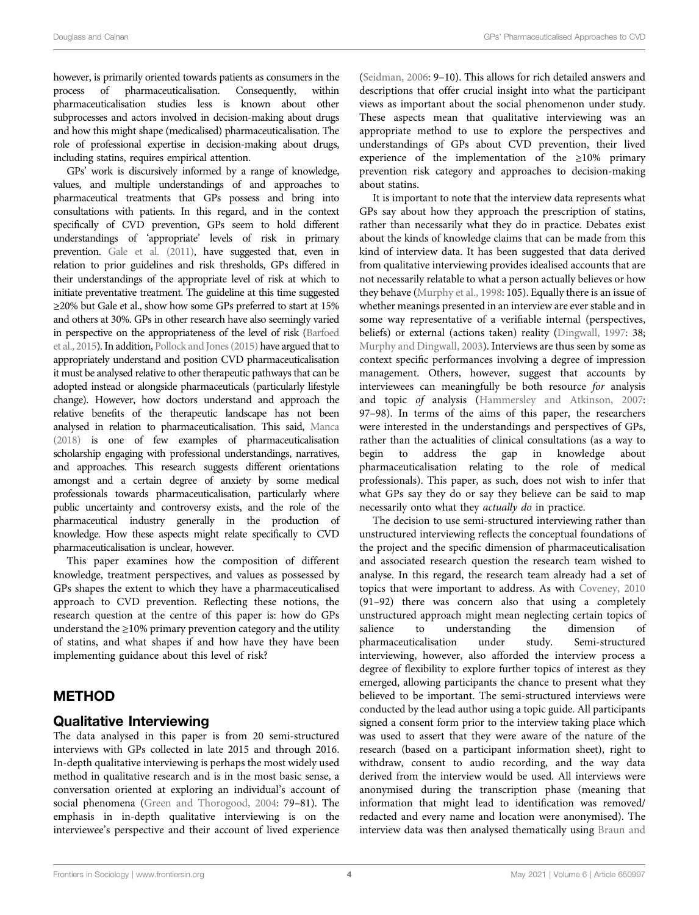however, is primarily oriented towards patients as consumers in the process of pharmaceuticalisation. Consequently, within pharmaceuticalisation studies less is known about other subprocesses and actors involved in decision-making about drugs and how this might shape (medicalised) pharmaceuticalisation. The role of professional expertise in decision-making about drugs, including statins, requires empirical attention.

GPs' work is discursively informed by a range of knowledge, values, and multiple understandings of and approaches to pharmaceutical treatments that GPs possess and bring into consultations with patients. In this regard, and in the context specifically of CVD prevention, GPs seem to hold different understandings of 'appropriate' levels of risk in primary prevention. [Gale et al. \(2011\)](#page-12-18), have suggested that, even in relation to prior guidelines and risk thresholds, GPs differed in their understandings of the appropriate level of risk at which to initiate preventative treatment. The guideline at this time suggested ≥20% but Gale et al., show how some GPs preferred to start at 15% and others at 30%. GPs in other research have also seemingly varied in perspective on the appropriateness of the level of risk [\(Barfoed](#page-12-21) [et al., 2015](#page-12-21)). In addition, [Pollock and Jones \(2015\)](#page-13-9) have argued that to appropriately understand and position CVD pharmaceuticalisation it must be analysed relative to other therapeutic pathways that can be adopted instead or alongside pharmaceuticals (particularly lifestyle change). However, how doctors understand and approach the relative benefits of the therapeutic landscape has not been analysed in relation to pharmaceuticalisation. This said, [Manca](#page-12-22) [\(2018\)](#page-12-22) is one of few examples of pharmaceuticalisation scholarship engaging with professional understandings, narratives, and approaches. This research suggests different orientations amongst and a certain degree of anxiety by some medical professionals towards pharmaceuticalisation, particularly where public uncertainty and controversy exists, and the role of the pharmaceutical industry generally in the production of knowledge. How these aspects might relate specifically to CVD pharmaceuticalisation is unclear, however.

This paper examines how the composition of different knowledge, treatment perspectives, and values as possessed by GPs shapes the extent to which they have a pharmaceuticalised approach to CVD prevention. Reflecting these notions, the research question at the centre of this paper is: how do GPs understand the ≥10% primary prevention category and the utility of statins, and what shapes if and how have they have been implementing guidance about this level of risk?

# METHOD

## Qualitative Interviewing

The data analysed in this paper is from 20 semi-structured interviews with GPs collected in late 2015 and through 2016. In-depth qualitative interviewing is perhaps the most widely used method in qualitative research and is in the most basic sense, a conversation oriented at exploring an individual's account of social phenomena ([Green and Thorogood, 2004:](#page-12-23) 79–81). The emphasis in in-depth qualitative interviewing is on the interviewee's perspective and their account of lived experience

[\(Seidman, 2006:](#page-13-10) 9–10). This allows for rich detailed answers and descriptions that offer crucial insight into what the participant views as important about the social phenomenon under study. These aspects mean that qualitative interviewing was an appropriate method to use to explore the perspectives and understandings of GPs about CVD prevention, their lived experience of the implementation of the  $\geq 10\%$  primary prevention risk category and approaches to decision-making about statins.

It is important to note that the interview data represents what GPs say about how they approach the prescription of statins, rather than necessarily what they do in practice. Debates exist about the kinds of knowledge claims that can be made from this kind of interview data. It has been suggested that data derived from qualitative interviewing provides idealised accounts that are not necessarily relatable to what a person actually believes or how they behave [\(Murphy et al., 1998:](#page-12-24) 105). Equally there is an issue of whether meanings presented in an interview are ever stable and in some way representative of a verifiable internal (perspectives, beliefs) or external (actions taken) reality ([Dingwall, 1997:](#page-12-25) 38; [Murphy and Dingwall, 2003](#page-12-26)). Interviews are thus seen by some as context specific performances involving a degree of impression management. Others, however, suggest that accounts by interviewees can meaningfully be both resource for analysis and topic of analysis [\(Hammersley and Atkinson, 2007:](#page-12-27) 97–98). In terms of the aims of this paper, the researchers were interested in the understandings and perspectives of GPs, rather than the actualities of clinical consultations (as a way to begin to address the gap in knowledge about pharmaceuticalisation relating to the role of medical professionals). This paper, as such, does not wish to infer that what GPs say they do or say they believe can be said to map necessarily onto what they actually do in practice.

The decision to use semi-structured interviewing rather than unstructured interviewing reflects the conceptual foundations of the project and the specific dimension of pharmaceuticalisation and associated research question the research team wished to analyse. In this regard, the research team already had a set of topics that were important to address. As with [Coveney, 2010](#page-12-28) (91–92) there was concern also that using a completely unstructured approach might mean neglecting certain topics of salience to understanding the dimension of pharmaceuticalisation under study. Semi-structured interviewing, however, also afforded the interview process a degree of flexibility to explore further topics of interest as they emerged, allowing participants the chance to present what they believed to be important. The semi-structured interviews were conducted by the lead author using a topic guide. All participants signed a consent form prior to the interview taking place which was used to assert that they were aware of the nature of the research (based on a participant information sheet), right to withdraw, consent to audio recording, and the way data derived from the interview would be used. All interviews were anonymised during the transcription phase (meaning that information that might lead to identification was removed/ redacted and every name and location were anonymised). The interview data was then analysed thematically using [Braun and](#page-12-29)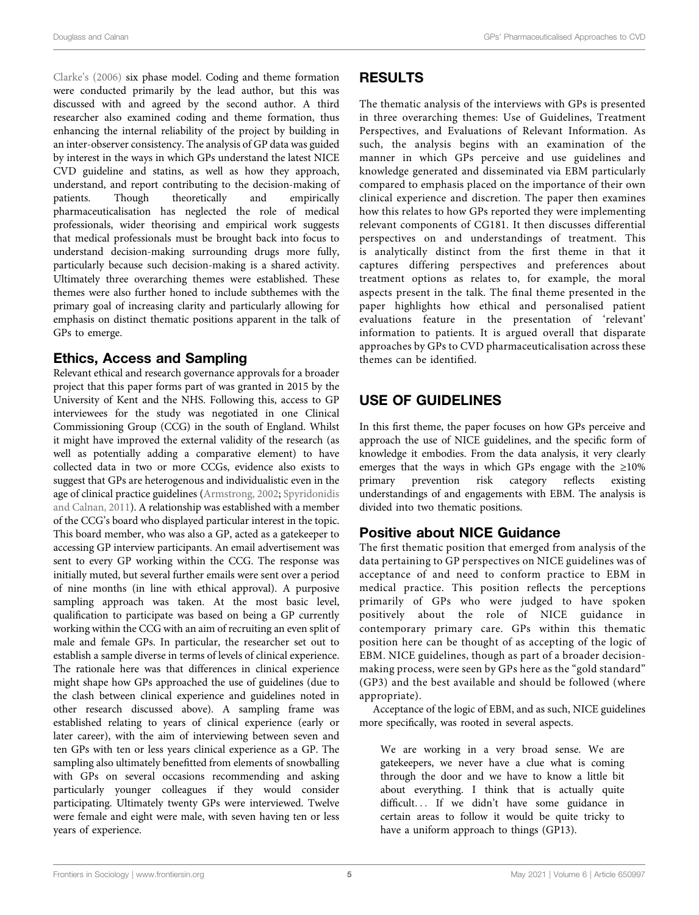Clarke'[s \(2006\)](#page-12-29) six phase model. Coding and theme formation were conducted primarily by the lead author, but this was discussed with and agreed by the second author. A third researcher also examined coding and theme formation, thus enhancing the internal reliability of the project by building in an inter-observer consistency. The analysis of GP data was guided by interest in the ways in which GPs understand the latest NICE CVD guideline and statins, as well as how they approach, understand, and report contributing to the decision-making of patients. Though theoretically and empirically pharmaceuticalisation has neglected the role of medical professionals, wider theorising and empirical work suggests that medical professionals must be brought back into focus to understand decision-making surrounding drugs more fully, particularly because such decision-making is a shared activity. Ultimately three overarching themes were established. These themes were also further honed to include subthemes with the primary goal of increasing clarity and particularly allowing for emphasis on distinct thematic positions apparent in the talk of GPs to emerge.

#### Ethics, Access and Sampling

Relevant ethical and research governance approvals for a broader project that this paper forms part of was granted in 2015 by the University of Kent and the NHS. Following this, access to GP interviewees for the study was negotiated in one Clinical Commissioning Group (CCG) in the south of England. Whilst it might have improved the external validity of the research (as well as potentially adding a comparative element) to have collected data in two or more CCGs, evidence also exists to suggest that GPs are heterogenous and individualistic even in the age of clinical practice guidelines [\(Armstrong, 2002](#page-12-30); [Spyridonidis](#page-13-11) [and Calnan, 2011\)](#page-13-11). A relationship was established with a member of the CCG's board who displayed particular interest in the topic. This board member, who was also a GP, acted as a gatekeeper to accessing GP interview participants. An email advertisement was sent to every GP working within the CCG. The response was initially muted, but several further emails were sent over a period of nine months (in line with ethical approval). A purposive sampling approach was taken. At the most basic level, qualification to participate was based on being a GP currently working within the CCG with an aim of recruiting an even split of male and female GPs. In particular, the researcher set out to establish a sample diverse in terms of levels of clinical experience. The rationale here was that differences in clinical experience might shape how GPs approached the use of guidelines (due to the clash between clinical experience and guidelines noted in other research discussed above). A sampling frame was established relating to years of clinical experience (early or later career), with the aim of interviewing between seven and ten GPs with ten or less years clinical experience as a GP. The sampling also ultimately benefitted from elements of snowballing with GPs on several occasions recommending and asking particularly younger colleagues if they would consider participating. Ultimately twenty GPs were interviewed. Twelve were female and eight were male, with seven having ten or less years of experience.

# RESULTS

The thematic analysis of the interviews with GPs is presented in three overarching themes: Use of Guidelines, Treatment Perspectives, and Evaluations of Relevant Information. As such, the analysis begins with an examination of the manner in which GPs perceive and use guidelines and knowledge generated and disseminated via EBM particularly compared to emphasis placed on the importance of their own clinical experience and discretion. The paper then examines how this relates to how GPs reported they were implementing relevant components of CG181. It then discusses differential perspectives on and understandings of treatment. This is analytically distinct from the first theme in that it captures differing perspectives and preferences about treatment options as relates to, for example, the moral aspects present in the talk. The final theme presented in the paper highlights how ethical and personalised patient evaluations feature in the presentation of 'relevant' information to patients. It is argued overall that disparate approaches by GPs to CVD pharmaceuticalisation across these themes can be identified.

# USE OF GUIDELINES

In this first theme, the paper focuses on how GPs perceive and approach the use of NICE guidelines, and the specific form of knowledge it embodies. From the data analysis, it very clearly emerges that the ways in which GPs engage with the ≥10% primary prevention risk category reflects existing understandings of and engagements with EBM. The analysis is divided into two thematic positions.

# Positive about NICE Guidance

The first thematic position that emerged from analysis of the data pertaining to GP perspectives on NICE guidelines was of acceptance of and need to conform practice to EBM in medical practice. This position reflects the perceptions primarily of GPs who were judged to have spoken positively about the role of NICE guidance in contemporary primary care. GPs within this thematic position here can be thought of as accepting of the logic of EBM. NICE guidelines, though as part of a broader decisionmaking process, were seen by GPs here as the "gold standard" (GP3) and the best available and should be followed (where appropriate).

Acceptance of the logic of EBM, and as such, NICE guidelines more specifically, was rooted in several aspects.

We are working in a very broad sense. We are gatekeepers, we never have a clue what is coming through the door and we have to know a little bit about everything. I think that is actually quite difficult... If we didn't have some guidance in certain areas to follow it would be quite tricky to have a uniform approach to things (GP13).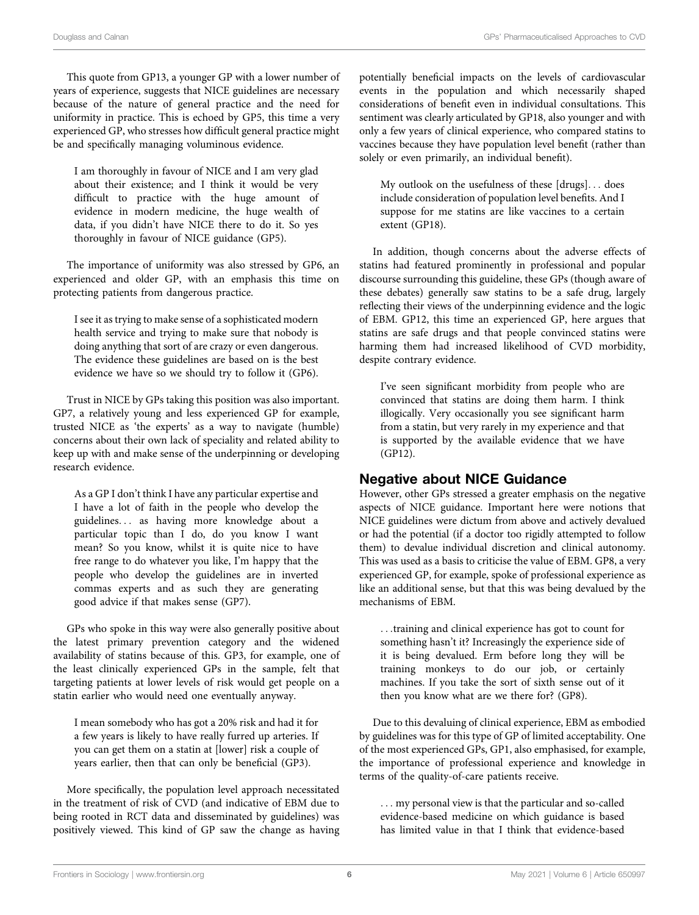This quote from GP13, a younger GP with a lower number of years of experience, suggests that NICE guidelines are necessary because of the nature of general practice and the need for uniformity in practice. This is echoed by GP5, this time a very experienced GP, who stresses how difficult general practice might be and specifically managing voluminous evidence.

I am thoroughly in favour of NICE and I am very glad about their existence; and I think it would be very difficult to practice with the huge amount of evidence in modern medicine, the huge wealth of data, if you didn't have NICE there to do it. So yes thoroughly in favour of NICE guidance (GP5).

The importance of uniformity was also stressed by GP6, an experienced and older GP, with an emphasis this time on protecting patients from dangerous practice.

I see it as trying to make sense of a sophisticated modern health service and trying to make sure that nobody is doing anything that sort of are crazy or even dangerous. The evidence these guidelines are based on is the best evidence we have so we should try to follow it (GP6).

Trust in NICE by GPs taking this position was also important. GP7, a relatively young and less experienced GP for example, trusted NICE as 'the experts' as a way to navigate (humble) concerns about their own lack of speciality and related ability to keep up with and make sense of the underpinning or developing research evidence.

As a GP I don't think I have any particular expertise and I have a lot of faith in the people who develop the guidelines... as having more knowledge about a particular topic than I do, do you know I want mean? So you know, whilst it is quite nice to have free range to do whatever you like, I'm happy that the people who develop the guidelines are in inverted commas experts and as such they are generating good advice if that makes sense (GP7).

GPs who spoke in this way were also generally positive about the latest primary prevention category and the widened availability of statins because of this. GP3, for example, one of the least clinically experienced GPs in the sample, felt that targeting patients at lower levels of risk would get people on a statin earlier who would need one eventually anyway.

I mean somebody who has got a 20% risk and had it for a few years is likely to have really furred up arteries. If you can get them on a statin at [lower] risk a couple of years earlier, then that can only be beneficial (GP3).

More specifically, the population level approach necessitated in the treatment of risk of CVD (and indicative of EBM due to being rooted in RCT data and disseminated by guidelines) was positively viewed. This kind of GP saw the change as having potentially beneficial impacts on the levels of cardiovascular events in the population and which necessarily shaped considerations of benefit even in individual consultations. This sentiment was clearly articulated by GP18, also younger and with only a few years of clinical experience, who compared statins to vaccines because they have population level benefit (rather than solely or even primarily, an individual benefit).

My outlook on the usefulness of these [drugs]... does include consideration of population level benefits. And I suppose for me statins are like vaccines to a certain extent (GP18).

In addition, though concerns about the adverse effects of statins had featured prominently in professional and popular discourse surrounding this guideline, these GPs (though aware of these debates) generally saw statins to be a safe drug, largely reflecting their views of the underpinning evidence and the logic of EBM. GP12, this time an experienced GP, here argues that statins are safe drugs and that people convinced statins were harming them had increased likelihood of CVD morbidity, despite contrary evidence.

I've seen significant morbidity from people who are convinced that statins are doing them harm. I think illogically. Very occasionally you see significant harm from a statin, but very rarely in my experience and that is supported by the available evidence that we have (GP12).

# Negative about NICE Guidance

However, other GPs stressed a greater emphasis on the negative aspects of NICE guidance. Important here were notions that NICE guidelines were dictum from above and actively devalued or had the potential (if a doctor too rigidly attempted to follow them) to devalue individual discretion and clinical autonomy. This was used as a basis to criticise the value of EBM. GP8, a very experienced GP, for example, spoke of professional experience as like an additional sense, but that this was being devalued by the mechanisms of EBM.

...training and clinical experience has got to count for something hasn't it? Increasingly the experience side of it is being devalued. Erm before long they will be training monkeys to do our job, or certainly machines. If you take the sort of sixth sense out of it then you know what are we there for? (GP8).

Due to this devaluing of clinical experience, EBM as embodied by guidelines was for this type of GP of limited acceptability. One of the most experienced GPs, GP1, also emphasised, for example, the importance of professional experience and knowledge in terms of the quality-of-care patients receive.

... my personal view is that the particular and so-called evidence-based medicine on which guidance is based has limited value in that I think that evidence-based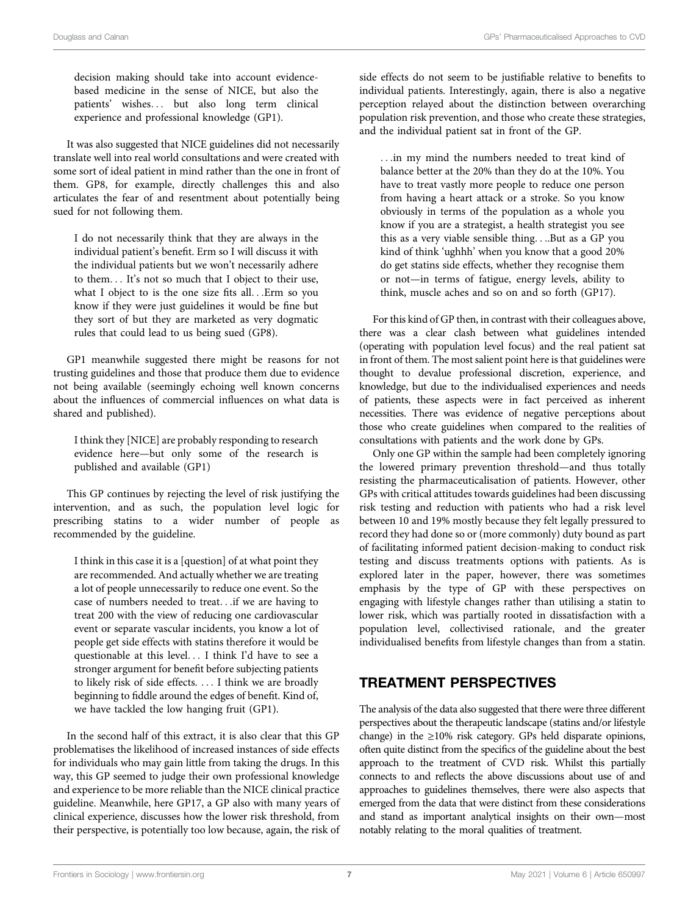decision making should take into account evidencebased medicine in the sense of NICE, but also the patients' wishes... but also long term clinical experience and professional knowledge (GP1).

It was also suggested that NICE guidelines did not necessarily translate well into real world consultations and were created with some sort of ideal patient in mind rather than the one in front of them. GP8, for example, directly challenges this and also articulates the fear of and resentment about potentially being sued for not following them.

I do not necessarily think that they are always in the individual patient's benefit. Erm so I will discuss it with the individual patients but we won't necessarily adhere to them... It's not so much that I object to their use, what I object to is the one size fits all...Erm so you know if they were just guidelines it would be fine but they sort of but they are marketed as very dogmatic rules that could lead to us being sued (GP8).

GP1 meanwhile suggested there might be reasons for not trusting guidelines and those that produce them due to evidence not being available (seemingly echoing well known concerns about the influences of commercial influences on what data is shared and published).

I think they [NICE] are probably responding to research evidence here—but only some of the research is published and available (GP1)

This GP continues by rejecting the level of risk justifying the intervention, and as such, the population level logic for prescribing statins to a wider number of people as recommended by the guideline.

I think in this case it is a [question] of at what point they are recommended. And actually whether we are treating a lot of people unnecessarily to reduce one event. So the case of numbers needed to treat...if we are having to treat 200 with the view of reducing one cardiovascular event or separate vascular incidents, you know a lot of people get side effects with statins therefore it would be questionable at this level... I think I'd have to see a stronger argument for benefit before subjecting patients to likely risk of side effects. ... I think we are broadly beginning to fiddle around the edges of benefit. Kind of, we have tackled the low hanging fruit (GP1).

In the second half of this extract, it is also clear that this GP problematises the likelihood of increased instances of side effects for individuals who may gain little from taking the drugs. In this way, this GP seemed to judge their own professional knowledge and experience to be more reliable than the NICE clinical practice guideline. Meanwhile, here GP17, a GP also with many years of clinical experience, discusses how the lower risk threshold, from their perspective, is potentially too low because, again, the risk of side effects do not seem to be justifiable relative to benefits to individual patients. Interestingly, again, there is also a negative perception relayed about the distinction between overarching population risk prevention, and those who create these strategies, and the individual patient sat in front of the GP.

...in my mind the numbers needed to treat kind of balance better at the 20% than they do at the 10%. You have to treat vastly more people to reduce one person from having a heart attack or a stroke. So you know obviously in terms of the population as a whole you know if you are a strategist, a health strategist you see this as a very viable sensible thing....But as a GP you kind of think 'ughhh' when you know that a good 20% do get statins side effects, whether they recognise them or not—in terms of fatigue, energy levels, ability to think, muscle aches and so on and so forth (GP17).

For this kind of GP then, in contrast with their colleagues above, there was a clear clash between what guidelines intended (operating with population level focus) and the real patient sat in front of them. The most salient point here is that guidelines were thought to devalue professional discretion, experience, and knowledge, but due to the individualised experiences and needs of patients, these aspects were in fact perceived as inherent necessities. There was evidence of negative perceptions about those who create guidelines when compared to the realities of consultations with patients and the work done by GPs.

Only one GP within the sample had been completely ignoring the lowered primary prevention threshold—and thus totally resisting the pharmaceuticalisation of patients. However, other GPs with critical attitudes towards guidelines had been discussing risk testing and reduction with patients who had a risk level between 10 and 19% mostly because they felt legally pressured to record they had done so or (more commonly) duty bound as part of facilitating informed patient decision-making to conduct risk testing and discuss treatments options with patients. As is explored later in the paper, however, there was sometimes emphasis by the type of GP with these perspectives on engaging with lifestyle changes rather than utilising a statin to lower risk, which was partially rooted in dissatisfaction with a population level, collectivised rationale, and the greater individualised benefits from lifestyle changes than from a statin.

# TREATMENT PERSPECTIVES

The analysis of the data also suggested that there were three different perspectives about the therapeutic landscape (statins and/or lifestyle change) in the ≥10% risk category. GPs held disparate opinions, often quite distinct from the specifics of the guideline about the best approach to the treatment of CVD risk. Whilst this partially connects to and reflects the above discussions about use of and approaches to guidelines themselves, there were also aspects that emerged from the data that were distinct from these considerations and stand as important analytical insights on their own—most notably relating to the moral qualities of treatment.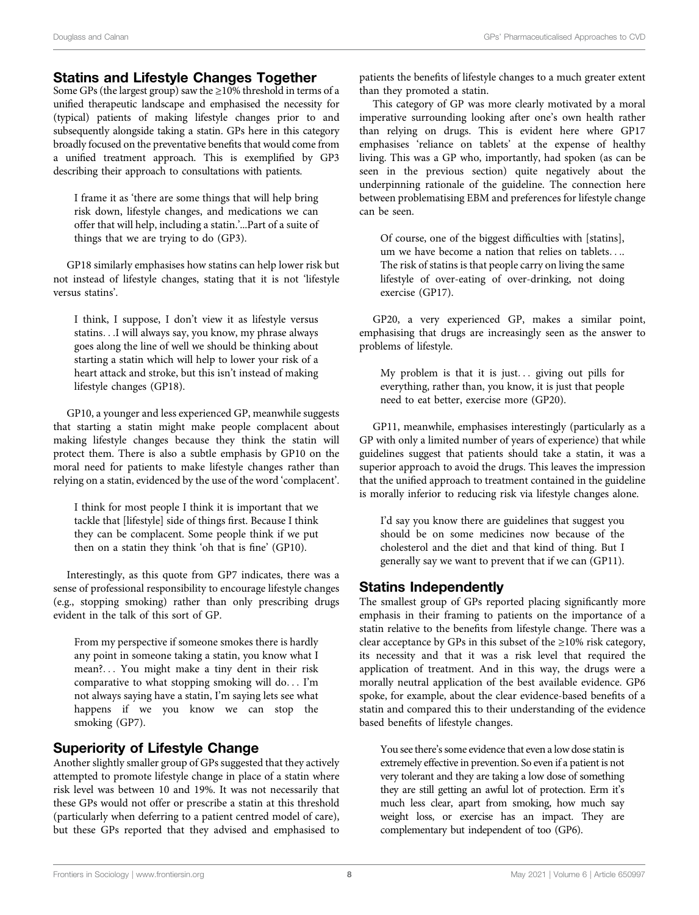#### Statins and Lifestyle Changes Together

Some GPs (the largest group) saw the  $\geq$ 10% threshold in terms of a unified therapeutic landscape and emphasised the necessity for (typical) patients of making lifestyle changes prior to and subsequently alongside taking a statin. GPs here in this category broadly focused on the preventative benefits that would come from a unified treatment approach. This is exemplified by GP3 describing their approach to consultations with patients.

I frame it as 'there are some things that will help bring risk down, lifestyle changes, and medications we can offer that will help, including a statin.'...Part of a suite of things that we are trying to do (GP3).

GP18 similarly emphasises how statins can help lower risk but not instead of lifestyle changes, stating that it is not 'lifestyle versus statins'.

I think, I suppose, I don't view it as lifestyle versus statins...I will always say, you know, my phrase always goes along the line of well we should be thinking about starting a statin which will help to lower your risk of a heart attack and stroke, but this isn't instead of making lifestyle changes (GP18).

GP10, a younger and less experienced GP, meanwhile suggests that starting a statin might make people complacent about making lifestyle changes because they think the statin will protect them. There is also a subtle emphasis by GP10 on the moral need for patients to make lifestyle changes rather than relying on a statin, evidenced by the use of the word 'complacent'.

I think for most people I think it is important that we tackle that [lifestyle] side of things first. Because I think they can be complacent. Some people think if we put then on a statin they think 'oh that is fine' (GP10).

Interestingly, as this quote from GP7 indicates, there was a sense of professional responsibility to encourage lifestyle changes (e.g., stopping smoking) rather than only prescribing drugs evident in the talk of this sort of GP.

From my perspective if someone smokes there is hardly any point in someone taking a statin, you know what I mean?... You might make a tiny dent in their risk comparative to what stopping smoking will do... I'm not always saying have a statin, I'm saying lets see what happens if we you know we can stop the smoking (GP7).

## Superiority of Lifestyle Change

Another slightly smaller group of GPs suggested that they actively attempted to promote lifestyle change in place of a statin where risk level was between 10 and 19%. It was not necessarily that these GPs would not offer or prescribe a statin at this threshold (particularly when deferring to a patient centred model of care), but these GPs reported that they advised and emphasised to

patients the benefits of lifestyle changes to a much greater extent than they promoted a statin.

This category of GP was more clearly motivated by a moral imperative surrounding looking after one's own health rather than relying on drugs. This is evident here where GP17 emphasises 'reliance on tablets' at the expense of healthy living. This was a GP who, importantly, had spoken (as can be seen in the previous section) quite negatively about the underpinning rationale of the guideline. The connection here between problematising EBM and preferences for lifestyle change can be seen.

Of course, one of the biggest difficulties with [statins], um we have become a nation that relies on tablets.... The risk of statins is that people carry on living the same lifestyle of over-eating of over-drinking, not doing exercise (GP17).

GP20, a very experienced GP, makes a similar point, emphasising that drugs are increasingly seen as the answer to problems of lifestyle.

My problem is that it is just... giving out pills for everything, rather than, you know, it is just that people need to eat better, exercise more (GP20).

GP11, meanwhile, emphasises interestingly (particularly as a GP with only a limited number of years of experience) that while guidelines suggest that patients should take a statin, it was a superior approach to avoid the drugs. This leaves the impression that the unified approach to treatment contained in the guideline is morally inferior to reducing risk via lifestyle changes alone.

I'd say you know there are guidelines that suggest you should be on some medicines now because of the cholesterol and the diet and that kind of thing. But I generally say we want to prevent that if we can (GP11).

## Statins Independently

The smallest group of GPs reported placing significantly more emphasis in their framing to patients on the importance of a statin relative to the benefits from lifestyle change. There was a clear acceptance by GPs in this subset of the  $\geq$ 10% risk category, its necessity and that it was a risk level that required the application of treatment. And in this way, the drugs were a morally neutral application of the best available evidence. GP6 spoke, for example, about the clear evidence-based benefits of a statin and compared this to their understanding of the evidence based benefits of lifestyle changes.

You see there's some evidence that even a low dose statin is extremely effective in prevention. So even if a patient is not very tolerant and they are taking a low dose of something they are still getting an awful lot of protection. Erm it's much less clear, apart from smoking, how much say weight loss, or exercise has an impact. They are complementary but independent of too (GP6).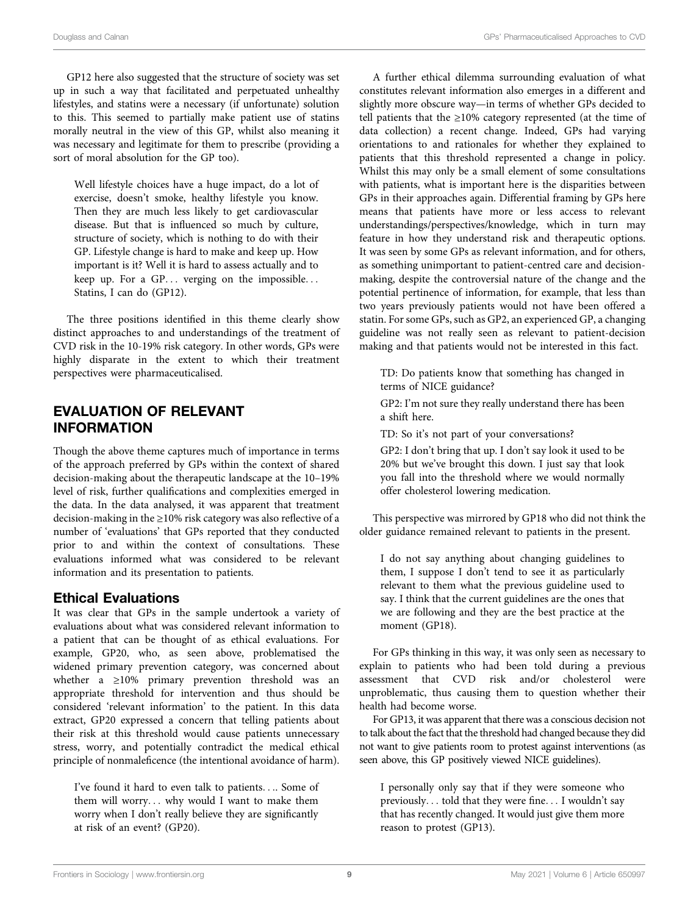GP12 here also suggested that the structure of society was set up in such a way that facilitated and perpetuated unhealthy lifestyles, and statins were a necessary (if unfortunate) solution to this. This seemed to partially make patient use of statins morally neutral in the view of this GP, whilst also meaning it was necessary and legitimate for them to prescribe (providing a sort of moral absolution for the GP too).

Well lifestyle choices have a huge impact, do a lot of exercise, doesn't smoke, healthy lifestyle you know. Then they are much less likely to get cardiovascular disease. But that is influenced so much by culture, structure of society, which is nothing to do with their GP. Lifestyle change is hard to make and keep up. How important is it? Well it is hard to assess actually and to keep up. For a GP... verging on the impossible... Statins, I can do (GP12).

The three positions identified in this theme clearly show distinct approaches to and understandings of the treatment of CVD risk in the 10-19% risk category. In other words, GPs were highly disparate in the extent to which their treatment perspectives were pharmaceuticalised.

# EVALUATION OF RELEVANT INFORMATION

Though the above theme captures much of importance in terms of the approach preferred by GPs within the context of shared decision-making about the therapeutic landscape at the 10–19% level of risk, further qualifications and complexities emerged in the data. In the data analysed, it was apparent that treatment decision-making in the ≥10% risk category was also reflective of a number of 'evaluations' that GPs reported that they conducted prior to and within the context of consultations. These evaluations informed what was considered to be relevant information and its presentation to patients.

## Ethical Evaluations

It was clear that GPs in the sample undertook a variety of evaluations about what was considered relevant information to a patient that can be thought of as ethical evaluations. For example, GP20, who, as seen above, problematised the widened primary prevention category, was concerned about whether a ≥10% primary prevention threshold was an appropriate threshold for intervention and thus should be considered 'relevant information' to the patient. In this data extract, GP20 expressed a concern that telling patients about their risk at this threshold would cause patients unnecessary stress, worry, and potentially contradict the medical ethical principle of nonmaleficence (the intentional avoidance of harm).

I've found it hard to even talk to patients.... Some of them will worry... why would I want to make them worry when I don't really believe they are significantly at risk of an event? (GP20).

A further ethical dilemma surrounding evaluation of what constitutes relevant information also emerges in a different and slightly more obscure way—in terms of whether GPs decided to tell patients that the ≥10% category represented (at the time of data collection) a recent change. Indeed, GPs had varying orientations to and rationales for whether they explained to patients that this threshold represented a change in policy. Whilst this may only be a small element of some consultations with patients, what is important here is the disparities between GPs in their approaches again. Differential framing by GPs here means that patients have more or less access to relevant understandings/perspectives/knowledge, which in turn may feature in how they understand risk and therapeutic options. It was seen by some GPs as relevant information, and for others, as something unimportant to patient-centred care and decisionmaking, despite the controversial nature of the change and the potential pertinence of information, for example, that less than two years previously patients would not have been offered a statin. For some GPs, such as GP2, an experienced GP, a changing guideline was not really seen as relevant to patient-decision making and that patients would not be interested in this fact.

TD: Do patients know that something has changed in terms of NICE guidance?

GP2: I'm not sure they really understand there has been a shift here.

TD: So it's not part of your conversations?

GP2: I don't bring that up. I don't say look it used to be 20% but we've brought this down. I just say that look you fall into the threshold where we would normally offer cholesterol lowering medication.

This perspective was mirrored by GP18 who did not think the older guidance remained relevant to patients in the present.

I do not say anything about changing guidelines to them, I suppose I don't tend to see it as particularly relevant to them what the previous guideline used to say. I think that the current guidelines are the ones that we are following and they are the best practice at the moment (GP18).

For GPs thinking in this way, it was only seen as necessary to explain to patients who had been told during a previous assessment that CVD risk and/or cholesterol were unproblematic, thus causing them to question whether their health had become worse.

For GP13, it was apparent that there was a conscious decision not to talk about the fact that the threshold had changed because they did not want to give patients room to protest against interventions (as seen above, this GP positively viewed NICE guidelines).

I personally only say that if they were someone who previously... told that they were fine... I wouldn't say that has recently changed. It would just give them more reason to protest (GP13).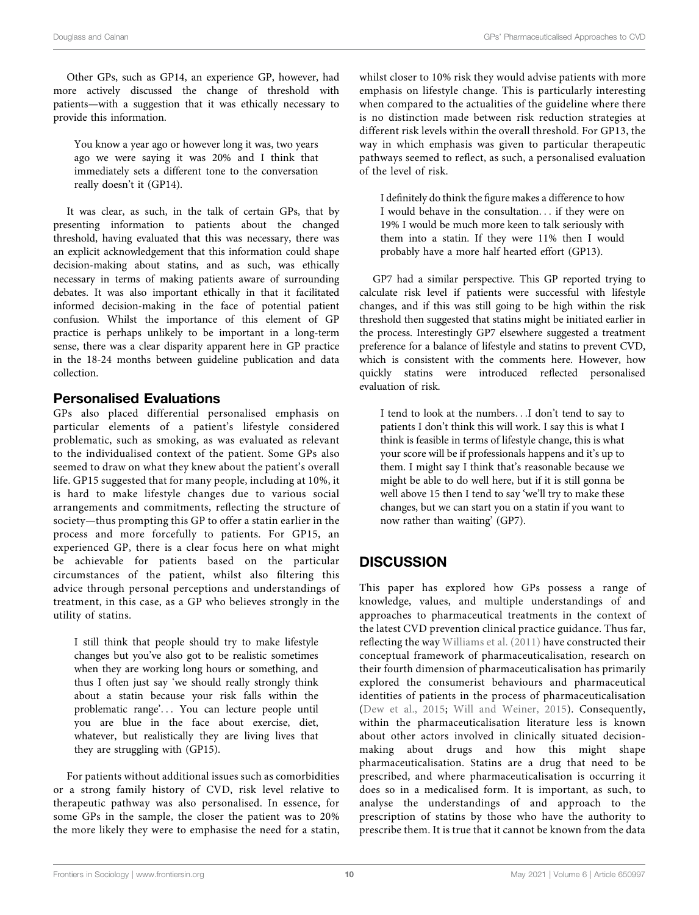Other GPs, such as GP14, an experience GP, however, had more actively discussed the change of threshold with patients—with a suggestion that it was ethically necessary to provide this information.

You know a year ago or however long it was, two years ago we were saying it was 20% and I think that immediately sets a different tone to the conversation really doesn't it (GP14).

It was clear, as such, in the talk of certain GPs, that by presenting information to patients about the changed threshold, having evaluated that this was necessary, there was an explicit acknowledgement that this information could shape decision-making about statins, and as such, was ethically necessary in terms of making patients aware of surrounding debates. It was also important ethically in that it facilitated informed decision-making in the face of potential patient confusion. Whilst the importance of this element of GP practice is perhaps unlikely to be important in a long-term sense, there was a clear disparity apparent here in GP practice in the 18-24 months between guideline publication and data collection.

## Personalised Evaluations

GPs also placed differential personalised emphasis on particular elements of a patient's lifestyle considered problematic, such as smoking, as was evaluated as relevant to the individualised context of the patient. Some GPs also seemed to draw on what they knew about the patient's overall life. GP15 suggested that for many people, including at 10%, it is hard to make lifestyle changes due to various social arrangements and commitments, reflecting the structure of society—thus prompting this GP to offer a statin earlier in the process and more forcefully to patients. For GP15, an experienced GP, there is a clear focus here on what might be achievable for patients based on the particular circumstances of the patient, whilst also filtering this advice through personal perceptions and understandings of treatment, in this case, as a GP who believes strongly in the utility of statins.

I still think that people should try to make lifestyle changes but you've also got to be realistic sometimes when they are working long hours or something, and thus I often just say 'we should really strongly think about a statin because your risk falls within the problematic range'... You can lecture people until you are blue in the face about exercise, diet, whatever, but realistically they are living lives that they are struggling with (GP15).

For patients without additional issues such as comorbidities or a strong family history of CVD, risk level relative to therapeutic pathway was also personalised. In essence, for some GPs in the sample, the closer the patient was to 20% the more likely they were to emphasise the need for a statin, whilst closer to 10% risk they would advise patients with more emphasis on lifestyle change. This is particularly interesting when compared to the actualities of the guideline where there is no distinction made between risk reduction strategies at different risk levels within the overall threshold. For GP13, the way in which emphasis was given to particular therapeutic pathways seemed to reflect, as such, a personalised evaluation of the level of risk.

I definitely do think the figure makes a difference to how I would behave in the consultation... if they were on 19% I would be much more keen to talk seriously with them into a statin. If they were 11% then I would probably have a more half hearted effort (GP13).

GP7 had a similar perspective. This GP reported trying to calculate risk level if patients were successful with lifestyle changes, and if this was still going to be high within the risk threshold then suggested that statins might be initiated earlier in the process. Interestingly GP7 elsewhere suggested a treatment preference for a balance of lifestyle and statins to prevent CVD, which is consistent with the comments here. However, how quickly statins were introduced reflected personalised evaluation of risk.

I tend to look at the numbers...I don't tend to say to patients I don't think this will work. I say this is what I think is feasible in terms of lifestyle change, this is what your score will be if professionals happens and it's up to them. I might say I think that's reasonable because we might be able to do well here, but if it is still gonna be well above 15 then I tend to say 'we'll try to make these changes, but we can start you on a statin if you want to now rather than waiting' (GP7).

# **DISCUSSION**

This paper has explored how GPs possess a range of knowledge, values, and multiple understandings of and approaches to pharmaceutical treatments in the context of the latest CVD prevention clinical practice guidance. Thus far, reflecting the way [Williams et al. \(2011\)](#page-13-3) have constructed their conceptual framework of pharmaceuticalisation, research on their fourth dimension of pharmaceuticalisation has primarily explored the consumerist behaviours and pharmaceutical identities of patients in the process of pharmaceuticalisation ([Dew et al., 2015](#page-12-15); [Will and Weiner, 2015](#page-13-8)). Consequently, within the pharmaceuticalisation literature less is known about other actors involved in clinically situated decisionmaking about drugs and how this might shape pharmaceuticalisation. Statins are a drug that need to be prescribed, and where pharmaceuticalisation is occurring it does so in a medicalised form. It is important, as such, to analyse the understandings of and approach to the prescription of statins by those who have the authority to prescribe them. It is true that it cannot be known from the data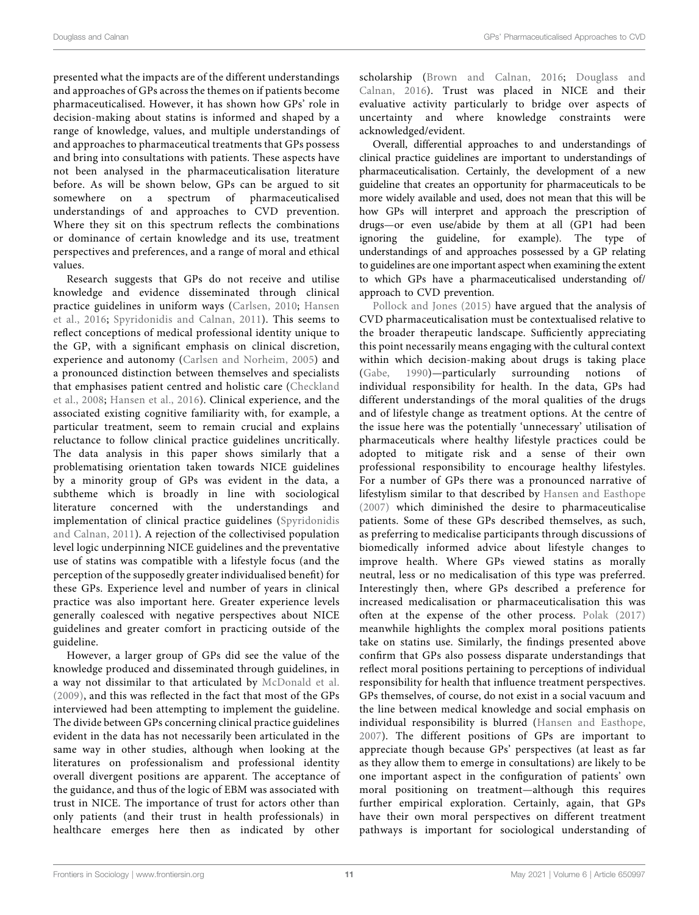presented what the impacts are of the different understandings and approaches of GPs across the themes on if patients become pharmaceuticalised. However, it has shown how GPs' role in decision-making about statins is informed and shaped by a range of knowledge, values, and multiple understandings of and approaches to pharmaceutical treatments that GPs possess and bring into consultations with patients. These aspects have not been analysed in the pharmaceuticalisation literature before. As will be shown below, GPs can be argued to sit somewhere on a spectrum of pharmaceuticalised understandings of and approaches to CVD prevention. Where they sit on this spectrum reflects the combinations or dominance of certain knowledge and its use, treatment perspectives and preferences, and a range of moral and ethical values.

Research suggests that GPs do not receive and utilise knowledge and evidence disseminated through clinical practice guidelines in uniform ways ([Carlsen, 2010](#page-12-31); [Hansen](#page-12-32) [et al., 2016;](#page-12-32) [Spyridonidis and Calnan, 2011\)](#page-13-11). This seems to reflect conceptions of medical professional identity unique to the GP, with a significant emphasis on clinical discretion, experience and autonomy ([Carlsen and Norheim, 2005\)](#page-12-33) and a pronounced distinction between themselves and specialists that emphasises patient centred and holistic care [\(Checkland](#page-12-34) [et al., 2008;](#page-12-34) [Hansen et al., 2016\)](#page-12-32). Clinical experience, and the associated existing cognitive familiarity with, for example, a particular treatment, seem to remain crucial and explains reluctance to follow clinical practice guidelines uncritically. The data analysis in this paper shows similarly that a problematising orientation taken towards NICE guidelines by a minority group of GPs was evident in the data, a subtheme which is broadly in line with sociological literature concerned with the understandings and implementation of clinical practice guidelines [\(Spyridonidis](#page-13-11) [and Calnan, 2011\)](#page-13-11). A rejection of the collectivised population level logic underpinning NICE guidelines and the preventative use of statins was compatible with a lifestyle focus (and the perception of the supposedly greater individualised benefit) for these GPs. Experience level and number of years in clinical practice was also important here. Greater experience levels generally coalesced with negative perspectives about NICE guidelines and greater comfort in practicing outside of the guideline.

However, a larger group of GPs did see the value of the knowledge produced and disseminated through guidelines, in a way not dissimilar to that articulated by [McDonald et al.](#page-12-35) [\(2009\)](#page-12-35), and this was reflected in the fact that most of the GPs interviewed had been attempting to implement the guideline. The divide between GPs concerning clinical practice guidelines evident in the data has not necessarily been articulated in the same way in other studies, although when looking at the literatures on professionalism and professional identity overall divergent positions are apparent. The acceptance of the guidance, and thus of the logic of EBM was associated with trust in NICE. The importance of trust for actors other than only patients (and their trust in health professionals) in healthcare emerges here then as indicated by other

scholarship [\(Brown and Calnan, 2016;](#page-12-36) [Douglass and](#page-12-37) [Calnan, 2016\)](#page-12-37). Trust was placed in NICE and their evaluative activity particularly to bridge over aspects of uncertainty and where knowledge constraints were acknowledged/evident.

Overall, differential approaches to and understandings of clinical practice guidelines are important to understandings of pharmaceuticalisation. Certainly, the development of a new guideline that creates an opportunity for pharmaceuticals to be more widely available and used, does not mean that this will be how GPs will interpret and approach the prescription of drugs—or even use/abide by them at all (GP1 had been ignoring the guideline, for example). The type of understandings of and approaches possessed by a GP relating to guidelines are one important aspect when examining the extent to which GPs have a pharmaceuticalised understanding of/ approach to CVD prevention.

[Pollock and Jones \(2015\)](#page-13-9) have argued that the analysis of CVD pharmaceuticalisation must be contextualised relative to the broader therapeutic landscape. Sufficiently appreciating this point necessarily means engaging with the cultural context within which decision-making about drugs is taking place ([Gabe, 1990\)](#page-12-38)—particularly surrounding notions of individual responsibility for health. In the data, GPs had different understandings of the moral qualities of the drugs and of lifestyle change as treatment options. At the centre of the issue here was the potentially 'unnecessary' utilisation of pharmaceuticals where healthy lifestyle practices could be adopted to mitigate risk and a sense of their own professional responsibility to encourage healthy lifestyles. For a number of GPs there was a pronounced narrative of lifestylism similar to that described by [Hansen and Easthope](#page-12-5) [\(2007\)](#page-12-5) which diminished the desire to pharmaceuticalise patients. Some of these GPs described themselves, as such, as preferring to medicalise participants through discussions of biomedically informed advice about lifestyle changes to improve health. Where GPs viewed statins as morally neutral, less or no medicalisation of this type was preferred. Interestingly then, where GPs described a preference for increased medicalisation or pharmaceuticalisation this was often at the expense of the other process. [Polak \(2017\)](#page-13-2) meanwhile highlights the complex moral positions patients take on statins use. Similarly, the findings presented above confirm that GPs also possess disparate understandings that reflect moral positions pertaining to perceptions of individual responsibility for health that influence treatment perspectives. GPs themselves, of course, do not exist in a social vacuum and the line between medical knowledge and social emphasis on individual responsibility is blurred ([Hansen and Easthope,](#page-12-5) [2007](#page-12-5)). The different positions of GPs are important to appreciate though because GPs' perspectives (at least as far as they allow them to emerge in consultations) are likely to be one important aspect in the configuration of patients' own moral positioning on treatment—although this requires further empirical exploration. Certainly, again, that GPs have their own moral perspectives on different treatment pathways is important for sociological understanding of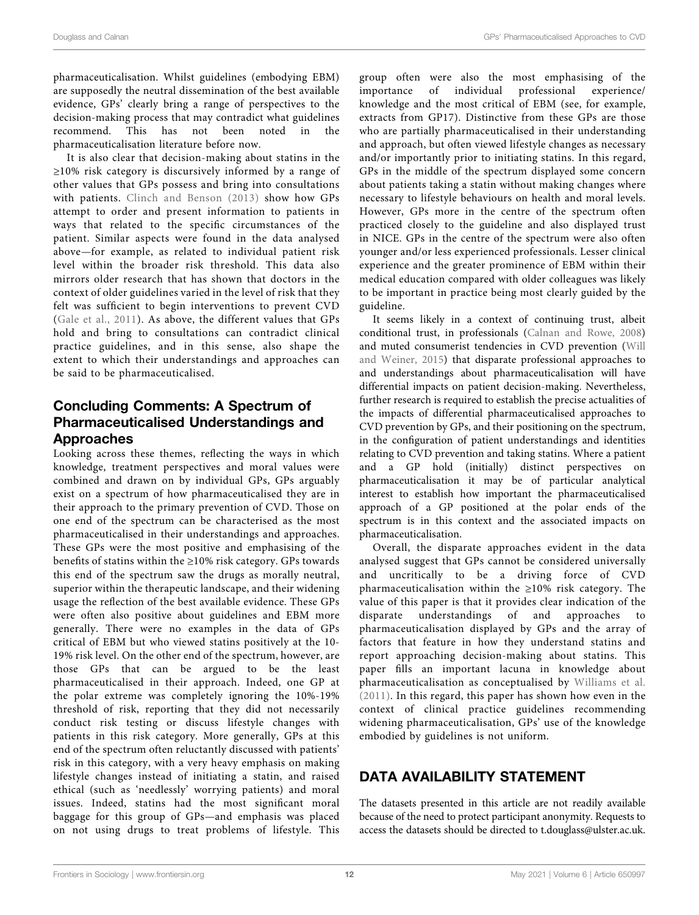pharmaceuticalisation. Whilst guidelines (embodying EBM) are supposedly the neutral dissemination of the best available evidence, GPs' clearly bring a range of perspectives to the decision-making process that may contradict what guidelines recommend. This has not been noted in the pharmaceuticalisation literature before now.

It is also clear that decision-making about statins in the ≥10% risk category is discursively informed by a range of other values that GPs possess and bring into consultations with patients. [Clinch and Benson \(2013\)](#page-12-39) show how GPs attempt to order and present information to patients in ways that related to the specific circumstances of the patient. Similar aspects were found in the data analysed above—for example, as related to individual patient risk level within the broader risk threshold. This data also mirrors older research that has shown that doctors in the context of older guidelines varied in the level of risk that they felt was sufficient to begin interventions to prevent CVD ([Gale et al., 2011\)](#page-12-18). As above, the different values that GPs hold and bring to consultations can contradict clinical practice guidelines, and in this sense, also shape the extent to which their understandings and approaches can be said to be pharmaceuticalised.

# Concluding Comments: A Spectrum of Pharmaceuticalised Understandings and Approaches

Looking across these themes, reflecting the ways in which knowledge, treatment perspectives and moral values were combined and drawn on by individual GPs, GPs arguably exist on a spectrum of how pharmaceuticalised they are in their approach to the primary prevention of CVD. Those on one end of the spectrum can be characterised as the most pharmaceuticalised in their understandings and approaches. These GPs were the most positive and emphasising of the benefits of statins within the ≥10% risk category. GPs towards this end of the spectrum saw the drugs as morally neutral, superior within the therapeutic landscape, and their widening usage the reflection of the best available evidence. These GPs were often also positive about guidelines and EBM more generally. There were no examples in the data of GPs critical of EBM but who viewed statins positively at the 10- 19% risk level. On the other end of the spectrum, however, are those GPs that can be argued to be the least pharmaceuticalised in their approach. Indeed, one GP at the polar extreme was completely ignoring the 10%-19% threshold of risk, reporting that they did not necessarily conduct risk testing or discuss lifestyle changes with patients in this risk category. More generally, GPs at this end of the spectrum often reluctantly discussed with patients' risk in this category, with a very heavy emphasis on making lifestyle changes instead of initiating a statin, and raised ethical (such as 'needlessly' worrying patients) and moral issues. Indeed, statins had the most significant moral baggage for this group of GPs—and emphasis was placed on not using drugs to treat problems of lifestyle. This

group often were also the most emphasising of the importance of individual professional experience/ knowledge and the most critical of EBM (see, for example, extracts from GP17). Distinctive from these GPs are those who are partially pharmaceuticalised in their understanding and approach, but often viewed lifestyle changes as necessary and/or importantly prior to initiating statins. In this regard, GPs in the middle of the spectrum displayed some concern about patients taking a statin without making changes where necessary to lifestyle behaviours on health and moral levels. However, GPs more in the centre of the spectrum often practiced closely to the guideline and also displayed trust in NICE. GPs in the centre of the spectrum were also often younger and/or less experienced professionals. Lesser clinical experience and the greater prominence of EBM within their medical education compared with older colleagues was likely to be important in practice being most clearly guided by the guideline.

It seems likely in a context of continuing trust, albeit conditional trust, in professionals [\(Calnan and Rowe, 2008\)](#page-12-20) and muted consumerist tendencies in CVD prevention [\(Will](#page-13-8) [and Weiner, 2015](#page-13-8)) that disparate professional approaches to and understandings about pharmaceuticalisation will have differential impacts on patient decision-making. Nevertheless, further research is required to establish the precise actualities of the impacts of differential pharmaceuticalised approaches to CVD prevention by GPs, and their positioning on the spectrum, in the configuration of patient understandings and identities relating to CVD prevention and taking statins. Where a patient and a GP hold (initially) distinct perspectives on pharmaceuticalisation it may be of particular analytical interest to establish how important the pharmaceuticalised approach of a GP positioned at the polar ends of the spectrum is in this context and the associated impacts on pharmaceuticalisation.

Overall, the disparate approaches evident in the data analysed suggest that GPs cannot be considered universally and uncritically to be a driving force of CVD pharmaceuticalisation within the ≥10% risk category. The value of this paper is that it provides clear indication of the disparate understandings of and approaches to pharmaceuticalisation displayed by GPs and the array of factors that feature in how they understand statins and report approaching decision-making about statins. This paper fills an important lacuna in knowledge about pharmaceuticalisation as conceptualised by [Williams et al.](#page-13-3) [\(2011\).](#page-13-3) In this regard, this paper has shown how even in the context of clinical practice guidelines recommending widening pharmaceuticalisation, GPs' use of the knowledge embodied by guidelines is not uniform.

# DATA AVAILABILITY STATEMENT

The datasets presented in this article are not readily available because of the need to protect participant anonymity. Requests to access the datasets should be directed to [t.douglass@ulster.ac.uk.](http://t.douglass@ulster.ac.uk)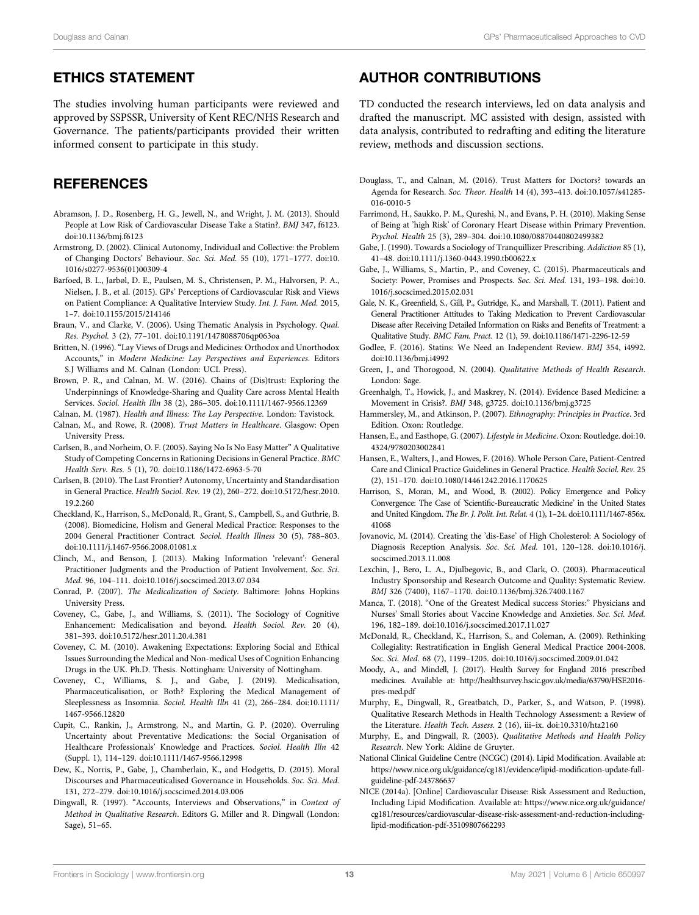## ETHICS STATEMENT

The studies involving human participants were reviewed and approved by SSPSSR, University of Kent REC/NHS Research and Governance. The patients/participants provided their written informed consent to participate in this study.

# **REFERENCES**

- <span id="page-12-2"></span>Abramson, J. D., Rosenberg, H. G., Jewell, N., and Wright, J. M. (2013). Should People at Low Risk of Cardiovascular Disease Take a Statin?. BMJ 347, f6123. doi:[10.1136/bmj.f6123](https://doi.org/10.1136/bmj.f6123)
- <span id="page-12-30"></span>Armstrong, D. (2002). Clinical Autonomy, Individual and Collective: the Problem of Changing Doctors' Behaviour. Soc. Sci. Med. 55 (10), 1771–1777. doi[:10.](https://doi.org/10.1016/s0277-9536(01)00309-4) [1016/s0277-9536\(01\)00309-4](https://doi.org/10.1016/s0277-9536(01)00309-4)
- <span id="page-12-21"></span>Barfoed, B. L., Jarbøl, D. E., Paulsen, M. S., Christensen, P. M., Halvorsen, P. A., Nielsen, J. B., et al. (2015). GPs' Perceptions of Cardiovascular Risk and Views on Patient Compliance: A Qualitative Interview Study. Int. J. Fam. Med. 2015, 1–7. doi:[10.1155/2015/214146](https://doi.org/10.1155/2015/214146)
- <span id="page-12-29"></span>Braun, V., and Clarke, V. (2006). Using Thematic Analysis in Psychology. Qual. Res. Psychol. 3 (2), 77–101. doi[:10.1191/1478088706qp063oa](https://doi.org/10.1191/1478088706qp063oa)
- <span id="page-12-13"></span>Britten, N. (1996). "Lay Views of Drugs and Medicines: Orthodox and Unorthodox Accounts," in Modern Medicine: Lay Perspectives and Experiences. Editors S.J Williams and M. Calnan (London: UCL Press).
- <span id="page-12-36"></span>Brown, P. R., and Calnan, M. W. (2016). Chains of (Dis)trust: Exploring the Underpinnings of Knowledge-Sharing and Quality Care across Mental Health Services. Sociol. Health Illn 38 (2), 286–305. doi:[10.1111/1467-9566.12369](https://doi.org/10.1111/1467-9566.12369)
- <span id="page-12-20"></span><span id="page-12-14"></span>Calnan, M. (1987). Health and Illness: The Lay Perspective. London: Tavistock. Calnan, M., and Rowe, R. (2008). Trust Matters in Healthcare. Glasgow: Open University Press.
- <span id="page-12-33"></span>Carlsen, B., and Norheim, O. F. (2005). Saying No Is No Easy Matter" A Qualitative Study of Competing Concerns in Rationing Decisions in General Practice. BMC Health Serv. Res. 5 (1), 70. doi:[10.1186/1472-6963-5-70](https://doi.org/10.1186/1472-6963-5-70)
- <span id="page-12-31"></span>Carlsen, B. (2010). The Last Frontier? Autonomy, Uncertainty and Standardisation in General Practice. Health Sociol. Rev. 19 (2), 260–272. doi[:10.5172/hesr.2010.](https://doi.org/10.5172/hesr.2010.19.2.260) [19.2.260](https://doi.org/10.5172/hesr.2010.19.2.260)
- <span id="page-12-34"></span>Checkland, K., Harrison, S., McDonald, R., Grant, S., Campbell, S., and Guthrie, B. (2008). Biomedicine, Holism and General Medical Practice: Responses to the 2004 General Practitioner Contract. Sociol. Health Illness 30 (5), 788–803. doi:[10.1111/j.1467-9566.2008.01081.x](https://doi.org/10.1111/j.1467-9566.2008.01081.x)
- <span id="page-12-39"></span>Clinch, M., and Benson, J. (2013). Making Information 'relevant': General Practitioner Judgments and the Production of Patient Involvement. Soc. Sci. Med. 96, 104–111. doi:[10.1016/j.socscimed.2013.07.034](https://doi.org/10.1016/j.socscimed.2013.07.034)
- <span id="page-12-8"></span>Conrad, P. (2007). The Medicalization of Society. Baltimore: Johns Hopkins University Press.
- <span id="page-12-9"></span>Coveney, C., Gabe, J., and Williams, S. (2011). The Sociology of Cognitive Enhancement: Medicalisation and beyond. Health Sociol. Rev. 20 (4), 381–393. doi:[10.5172/hesr.2011.20.4.381](https://doi.org/10.5172/hesr.2011.20.4.381)
- <span id="page-12-28"></span>Coveney, C. M. (2010). Awakening Expectations: Exploring Social and Ethical Issues Surrounding the Medical and Non-medical Uses of Cognition Enhancing Drugs in the UK. Ph.D. Thesis. Nottingham: University of Nottingham.
- <span id="page-12-10"></span>Coveney, C., Williams, S. J., and Gabe, J. (2019). Medicalisation, Pharmaceuticalisation, or Both? Exploring the Medical Management of Sleeplessness as Insomnia. Sociol. Health Illn 41 (2), 266–284. doi:[10.1111/](https://doi.org/10.1111/1467-9566.12820) [1467-9566.12820](https://doi.org/10.1111/1467-9566.12820)
- <span id="page-12-16"></span>Cupit, C., Rankin, J., Armstrong, N., and Martin, G. P. (2020). Overruling Uncertainty about Preventative Medications: the Social Organisation of Healthcare Professionals' Knowledge and Practices. Sociol. Health Illn 42 (Suppl. 1), 114–129. doi[:10.1111/1467-9566.12998](https://doi.org/10.1111/1467-9566.12998)
- <span id="page-12-15"></span>Dew, K., Norris, P., Gabe, J., Chamberlain, K., and Hodgetts, D. (2015). Moral Discourses and Pharmaceuticalised Governance in Households. Soc. Sci. Med. 131, 272–279. doi:[10.1016/j.socscimed.2014.03.006](https://doi.org/10.1016/j.socscimed.2014.03.006)
- <span id="page-12-25"></span>Dingwall, R. (1997). "Accounts, Interviews and Observations," in Context of Method in Qualitative Research. Editors G. Miller and R. Dingwall (London: Sage), 51–65.

## AUTHOR CONTRIBUTIONS

TD conducted the research interviews, led on data analysis and drafted the manuscript. MC assisted with design, assisted with data analysis, contributed to redrafting and editing the literature review, methods and discussion sections.

- <span id="page-12-37"></span>Douglass, T., and Calnan, M. (2016). Trust Matters for Doctors? towards an Agenda for Research. Soc. Theor. Health 14 (4), 393–413. doi[:10.1057/s41285-](https://doi.org/10.1057/s41285-016-0010-5) [016-0010-5](https://doi.org/10.1057/s41285-016-0010-5)
- <span id="page-12-17"></span>Farrimond, H., Saukko, P. M., Qureshi, N., and Evans, P. H. (2010). Making Sense of Being at 'high Risk' of Coronary Heart Disease within Primary Prevention. Psychol. Health 25 (3), 289–304. doi:[10.1080/08870440802499382](https://doi.org/10.1080/08870440802499382)
- <span id="page-12-38"></span>Gabe, J. (1990). Towards a Sociology of Tranquillizer Prescribing. Addiction 85 (1), 41–48. doi:[10.1111/j.1360-0443.1990.tb00622.x](https://doi.org/10.1111/j.1360-0443.1990.tb00622.x)
- <span id="page-12-12"></span>Gabe, J., Williams, S., Martin, P., and Coveney, C. (2015). Pharmaceuticals and Society: Power, Promises and Prospects. Soc. Sci. Med. 131, 193–198. doi[:10.](https://doi.org/10.1016/j.socscimed.2015.02.031) [1016/j.socscimed.2015.02.031](https://doi.org/10.1016/j.socscimed.2015.02.031)
- <span id="page-12-18"></span>Gale, N. K., Greenfield, S., Gill, P., Gutridge, K., and Marshall, T. (2011). Patient and General Practitioner Attitudes to Taking Medication to Prevent Cardiovascular Disease after Receiving Detailed Information on Risks and Benefits of Treatment: a Qualitative Study. BMC Fam. Pract. 12 (1), 59. doi[:10.1186/1471-2296-12-59](https://doi.org/10.1186/1471-2296-12-59)
- <span id="page-12-3"></span>Godlee, F. (2016). Statins: We Need an Independent Review. BMJ 354, i4992. doi[:10.1136/bmj.i4992](https://doi.org/10.1136/bmj.i4992)
- <span id="page-12-23"></span>Green, J., and Thorogood, N. (2004). Qualitative Methods of Health Research. London: Sage.
- <span id="page-12-7"></span>Greenhalgh, T., Howick, J., and Maskrey, N. (2014). Evidence Based Medicine: a Movement in Crisis?. BMJ 348, g3725. doi[:10.1136/bmj.g3725](https://doi.org/10.1136/bmj.g3725)
- <span id="page-12-27"></span>Hammersley, M., and Atkinson, P. (2007). Ethnography: Principles in Practice. 3rd Edition. Oxon: Routledge.
- <span id="page-12-5"></span>Hansen, E., and Easthope, G. (2007). Lifestyle in Medicine. Oxon: Routledge. doi[:10.](https://doi.org/10.4324/9780203002841) [4324/9780203002841](https://doi.org/10.4324/9780203002841)
- <span id="page-12-32"></span>Hansen, E., Walters, J., and Howes, F. (2016). Whole Person Care, Patient-Centred Care and Clinical Practice Guidelines in General Practice. Health Sociol. Rev. 25 (2), 151–170. doi:[10.1080/14461242.2016.1170625](https://doi.org/10.1080/14461242.2016.1170625)
- <span id="page-12-6"></span>Harrison, S., Moran, M., and Wood, B. (2002). Policy Emergence and Policy Convergence: The Case of 'Scientific-Bureaucratic Medicine' in the United States and United Kingdom. The Br. J. Polit. Int. Relat. 4 (1), 1–24. doi[:10.1111/1467-856x.](https://doi.org/10.1111/1467-856x.41068) [41068](https://doi.org/10.1111/1467-856x.41068)
- <span id="page-12-19"></span>Jovanovic, M. (2014). Creating the 'dis-Ease' of High Cholesterol: A Sociology of Diagnosis Reception Analysis. Soc. Sci. Med. 101, 120–128. doi:[10.1016/j.](https://doi.org/10.1016/j.socscimed.2013.11.008) [socscimed.2013.11.008](https://doi.org/10.1016/j.socscimed.2013.11.008)
- <span id="page-12-4"></span>Lexchin, J., Bero, L. A., Djulbegovic, B., and Clark, O. (2003). Pharmaceutical Industry Sponsorship and Research Outcome and Quality: Systematic Review. BMJ 326 (7400), 1167–1170. doi[:10.1136/bmj.326.7400.1167](https://doi.org/10.1136/bmj.326.7400.1167)
- <span id="page-12-22"></span>Manca, T. (2018). "One of the Greatest Medical success Stories:" Physicians and Nurses' Small Stories about Vaccine Knowledge and Anxieties. Soc. Sci. Med. 196, 182–189. doi:[10.1016/j.socscimed.2017.11.027](https://doi.org/10.1016/j.socscimed.2017.11.027)
- <span id="page-12-35"></span>McDonald, R., Checkland, K., Harrison, S., and Coleman, A. (2009). Rethinking Collegiality: Restratification in English General Medical Practice 2004-2008. Soc. Sci. Med. 68 (7), 1199–1205. doi[:10.1016/j.socscimed.2009.01.042](https://doi.org/10.1016/j.socscimed.2009.01.042)
- <span id="page-12-11"></span>Moody, A., and Mindell, J. (2017). Health Survey for England 2016 prescribed medicines. Available at: [http://healthsurvey.hscic.gov.uk/media/63790/HSE2016](http://healthsurvey.hscic.gov.uk/media/63790/HSE2016-pres-med.pdf) [pres-med.pdf](http://healthsurvey.hscic.gov.uk/media/63790/HSE2016-pres-med.pdf)
- <span id="page-12-24"></span>Murphy, E., Dingwall, R., Greatbatch, D., Parker, S., and Watson, P. (1998). Qualitative Research Methods in Health Technology Assessment: a Review of the Literature. Health Tech. Assess. 2 (16), iii–ix. doi[:10.3310/hta2160](https://doi.org/10.3310/hta2160)
- <span id="page-12-26"></span>Murphy, E., and Dingwall, R. (2003). Qualitative Methods and Health Policy Research. New York: Aldine de Gruyter.
- <span id="page-12-1"></span>National Clinical Guideline Centre (NCGC) (2014). Lipid Modification. Available at: [https://www.nice.org.uk/guidance/cg181/evidence/lipid-modi](https://www.nice.org.uk/guidance/cg181/evidence/lipid-modification-update-full-guideline-pdf-243786637)fication-update-full[guideline-pdf-243786637](https://www.nice.org.uk/guidance/cg181/evidence/lipid-modification-update-full-guideline-pdf-243786637)
- <span id="page-12-0"></span>NICE (2014a). [Online] Cardiovascular Disease: Risk Assessment and Reduction, Including Lipid Modification. Available at: [https://www.nice.org.uk/guidance/](https://www.nice.org.uk/guidance/cg181/resources/cardiovascular-disease-risk-assessment-and-reduction-including-lipid-modification-pdf-35109807662293) [cg181/resources/cardiovascular-disease-risk-assessment-and-reduction-including](https://www.nice.org.uk/guidance/cg181/resources/cardiovascular-disease-risk-assessment-and-reduction-including-lipid-modification-pdf-35109807662293)lipid-modifi[cation-pdf-35109807662293](https://www.nice.org.uk/guidance/cg181/resources/cardiovascular-disease-risk-assessment-and-reduction-including-lipid-modification-pdf-35109807662293)